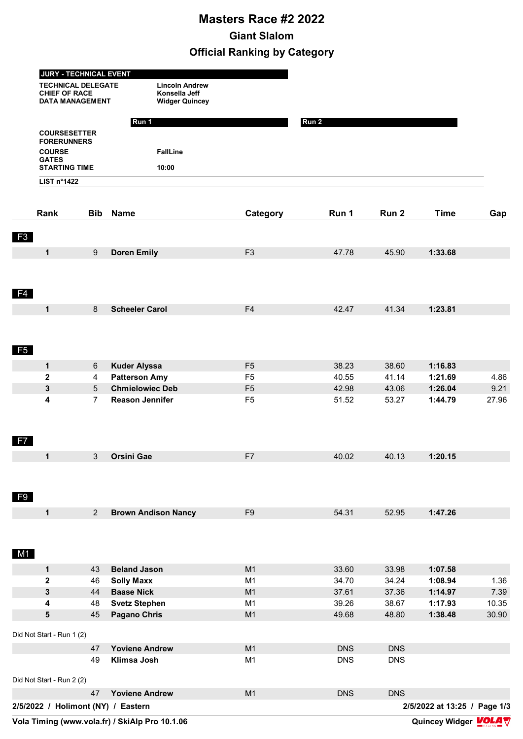## **Masters Race #2 2022 Giant Slalom Official Ranking by Category**

|                           | <b>CHIEF OF RACE</b><br><b>DATA MANAGEMENT</b> | Konsella Jeff<br><b>Widger Quincey</b> |                |                          |                          |             |                              |
|---------------------------|------------------------------------------------|----------------------------------------|----------------|--------------------------|--------------------------|-------------|------------------------------|
|                           |                                                | Run 1                                  |                | Run 2                    |                          |             |                              |
|                           | <b>COURSESETTER</b><br><b>FORERUNNERS</b>      |                                        |                |                          |                          |             |                              |
| <b>COURSE</b>             |                                                | <b>FallLine</b>                        |                |                          |                          |             |                              |
| <b>GATES</b>              | <b>STARTING TIME</b>                           |                                        |                |                          |                          |             |                              |
|                           |                                                | 10:00                                  |                |                          |                          |             |                              |
| LIST n°1422               |                                                |                                        |                |                          |                          |             |                              |
| Rank                      | <b>Bib</b>                                     | <b>Name</b>                            | Category       | Run 1                    | Run <sub>2</sub>         | <b>Time</b> | Gap                          |
| F3                        |                                                |                                        |                |                          |                          |             |                              |
| $\mathbf 1$               | 9                                              | <b>Doren Emily</b>                     | F <sub>3</sub> | 47.78                    | 45.90                    | 1:33.68     |                              |
|                           |                                                |                                        |                |                          |                          |             |                              |
|                           |                                                |                                        |                |                          |                          |             |                              |
| F <sub>4</sub>            |                                                |                                        |                |                          |                          |             |                              |
| $\mathbf 1$               | 8                                              | <b>Scheeler Carol</b>                  | F <sub>4</sub> | 42.47                    | 41.34                    | 1:23.81     |                              |
|                           |                                                |                                        |                |                          |                          |             |                              |
|                           |                                                |                                        |                |                          |                          |             |                              |
|                           |                                                |                                        |                |                          |                          |             |                              |
| F <sub>5</sub>            |                                                |                                        |                |                          |                          |             |                              |
| 1                         | 6                                              | <b>Kuder Alyssa</b>                    | F <sub>5</sub> | 38.23                    | 38.60                    | 1:16.83     |                              |
| 2                         | 4                                              | <b>Patterson Amy</b>                   | F <sub>5</sub> | 40.55                    | 41.14                    | 1:21.69     | 4.86                         |
| 3                         | 5                                              | <b>Chmielowiec Deb</b>                 | F <sub>5</sub> | 42.98                    | 43.06                    | 1:26.04     | 9.21                         |
| 4                         | $\overline{7}$                                 | <b>Reason Jennifer</b>                 | F <sub>5</sub> | 51.52                    | 53.27                    | 1:44.79     | 27.96                        |
|                           |                                                |                                        |                |                          |                          |             |                              |
|                           |                                                |                                        |                |                          |                          |             |                              |
| F7                        |                                                |                                        |                |                          |                          |             |                              |
| 1                         | 3 <sup>7</sup>                                 | Orsini Gae                             | F7             | 40.02                    | 40.13                    | 1:20.15     |                              |
|                           |                                                |                                        |                |                          |                          |             |                              |
|                           |                                                |                                        |                |                          |                          |             |                              |
|                           |                                                |                                        |                |                          |                          |             |                              |
| F <sub>9</sub>            |                                                |                                        |                |                          |                          |             |                              |
| $\mathbf 1$               | $2^{\circ}$                                    | <b>Brown Andison Nancy</b>             | F <sub>9</sub> | 54.31                    | 52.95                    | 1:47.26     |                              |
|                           |                                                |                                        |                |                          |                          |             |                              |
|                           |                                                |                                        |                |                          |                          |             |                              |
| M1                        |                                                |                                        |                |                          |                          |             |                              |
| $\mathbf 1$               | 43                                             | <b>Beland Jason</b>                    | M1             | 33.60                    | 33.98                    | 1:07.58     |                              |
| $\mathbf 2$               | 46                                             | <b>Solly Maxx</b>                      | M <sub>1</sub> | 34.70                    | 34.24                    | 1:08.94     | 1.36                         |
| 3                         | 44                                             | <b>Baase Nick</b>                      | M1             | 37.61                    | 37.36                    | 1:14.97     | 7.39                         |
| 4                         | 48                                             | <b>Svetz Stephen</b>                   | M <sub>1</sub> | 39.26                    | 38.67                    | 1:17.93     | 10.35                        |
| 5                         | 45                                             | <b>Pagano Chris</b>                    | M1             | 49.68                    | 48.80                    | 1:38.48     | 30.90                        |
| Did Not Start - Run 1 (2) |                                                |                                        |                |                          |                          |             |                              |
|                           |                                                |                                        |                |                          |                          |             |                              |
|                           | 47<br>49                                       | <b>Yoviene Andrew</b><br>Klimsa Josh   | M1<br>M1       | <b>DNS</b><br><b>DNS</b> | <b>DNS</b><br><b>DNS</b> |             |                              |
|                           |                                                |                                        |                |                          |                          |             |                              |
| Did Not Start - Run 2 (2) |                                                |                                        |                |                          |                          |             |                              |
|                           | 47                                             | <b>Yoviene Andrew</b>                  | M1             | <b>DNS</b>               | <b>DNS</b>               |             |                              |
|                           |                                                | 2/5/2022 / Holimont (NY) / Eastern     |                |                          |                          |             | 2/5/2022 at 13:25 / Page 1/3 |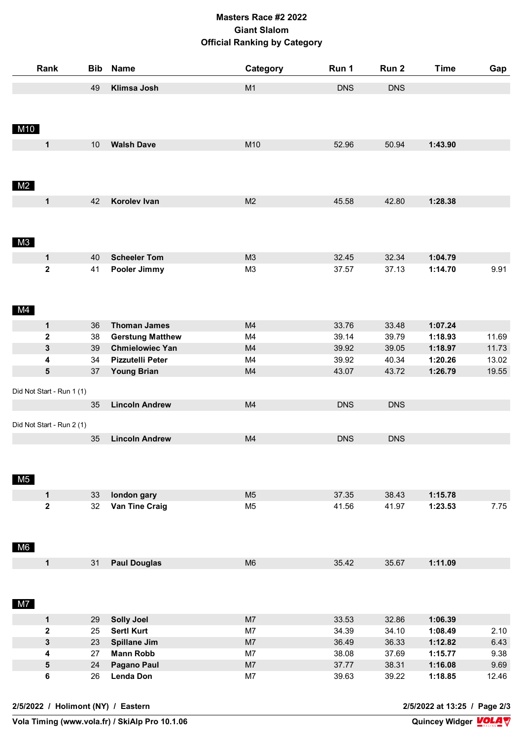## **Masters Race #2 2022 Giant Slalom Official Ranking by Category**

|                                    | Rank                       |          | <b>Bib Name</b>                                   | Category             | Run 1          | Run 2                        | <b>Time</b>        | Gap            |  |
|------------------------------------|----------------------------|----------|---------------------------------------------------|----------------------|----------------|------------------------------|--------------------|----------------|--|
|                                    |                            | 49       | Klimsa Josh                                       | M1                   | <b>DNS</b>     | <b>DNS</b>                   |                    |                |  |
|                                    |                            |          |                                                   |                      |                |                              |                    |                |  |
|                                    |                            |          |                                                   |                      |                |                              |                    |                |  |
| M10                                |                            |          |                                                   |                      |                |                              |                    |                |  |
|                                    | $\mathbf 1$                | 10       | <b>Walsh Dave</b>                                 | M10                  | 52.96          | 50.94                        | 1:43.90            |                |  |
|                                    |                            |          |                                                   |                      |                |                              |                    |                |  |
|                                    |                            |          |                                                   |                      |                |                              |                    |                |  |
| M2                                 |                            |          |                                                   |                      |                |                              |                    |                |  |
|                                    | $\mathbf 1$                | 42       | Korolev Ivan                                      | M <sub>2</sub>       | 45.58          | 42.80                        | 1:28.38            |                |  |
|                                    |                            |          |                                                   |                      |                |                              |                    |                |  |
|                                    |                            |          |                                                   |                      |                |                              |                    |                |  |
| M3                                 |                            |          |                                                   |                      |                |                              |                    |                |  |
|                                    |                            |          |                                                   |                      |                |                              |                    |                |  |
|                                    | $\mathbf 1$<br>$\mathbf 2$ | 40<br>41 | <b>Scheeler Tom</b>                               | M3<br>M <sub>3</sub> | 32.45<br>37.57 | 32.34<br>37.13               | 1:04.79<br>1:14.70 | 9.91           |  |
|                                    |                            |          | Pooler Jimmy                                      |                      |                |                              |                    |                |  |
|                                    |                            |          |                                                   |                      |                |                              |                    |                |  |
| M4                                 |                            |          |                                                   |                      |                |                              |                    |                |  |
|                                    |                            |          |                                                   |                      |                |                              |                    |                |  |
|                                    | $\mathbf 1$                | 36       | <b>Thoman James</b>                               | M4                   | 33.76          | 33.48                        | 1:07.24            |                |  |
|                                    | $\mathbf 2$<br>3           | 38<br>39 | <b>Gerstung Matthew</b><br><b>Chmielowiec Yan</b> | M4<br>M4             | 39.14<br>39.92 | 39.79<br>39.05               | 1:18.93<br>1:18.97 | 11.69<br>11.73 |  |
|                                    | 4                          | 34       | Pizzutelli Peter                                  | M4                   | 39.92          | 40.34                        | 1:20.26            | 13.02          |  |
|                                    | 5                          | 37       | <b>Young Brian</b>                                | M4                   | 43.07          | 43.72                        | 1:26.79            | 19.55          |  |
|                                    |                            |          |                                                   |                      |                |                              |                    |                |  |
|                                    | Did Not Start - Run 1 (1)  |          |                                                   |                      |                |                              |                    |                |  |
|                                    |                            | 35       | <b>Lincoln Andrew</b>                             | M4                   | <b>DNS</b>     | <b>DNS</b>                   |                    |                |  |
|                                    | Did Not Start - Run 2 (1)  |          |                                                   |                      |                |                              |                    |                |  |
|                                    |                            | 35       | <b>Lincoln Andrew</b>                             | M4                   | <b>DNS</b>     | <b>DNS</b>                   |                    |                |  |
|                                    |                            |          |                                                   |                      |                |                              |                    |                |  |
|                                    |                            |          |                                                   |                      |                |                              |                    |                |  |
| M <sub>5</sub>                     |                            |          |                                                   |                      |                |                              |                    |                |  |
|                                    | $\mathbf 1$                | 33       | london gary                                       | M <sub>5</sub>       | 37.35          | 38.43                        | 1:15.78            |                |  |
|                                    | $\mathbf 2$                | 32       | <b>Van Tine Craig</b>                             | M <sub>5</sub>       | 41.56          | 41.97                        | 1:23.53            | 7.75           |  |
|                                    |                            |          |                                                   |                      |                |                              |                    |                |  |
|                                    |                            |          |                                                   |                      |                |                              |                    |                |  |
| M6                                 |                            |          |                                                   |                      |                |                              |                    |                |  |
|                                    | $\mathbf 1$                | 31       | <b>Paul Douglas</b>                               | M <sub>6</sub>       | 35.42          | 35.67                        | 1:11.09            |                |  |
|                                    |                            |          |                                                   |                      |                |                              |                    |                |  |
|                                    |                            |          |                                                   |                      |                |                              |                    |                |  |
| M7                                 |                            |          |                                                   |                      |                |                              |                    |                |  |
|                                    |                            |          |                                                   |                      |                |                              |                    |                |  |
|                                    | 1<br>$\mathbf 2$           | 29<br>25 | <b>Solly Joel</b><br><b>Sertl Kurt</b>            | M7<br>M7             | 33.53<br>34.39 | 32.86<br>34.10               | 1:06.39<br>1:08.49 | 2.10           |  |
|                                    | 3                          | 23       | <b>Spillane Jim</b>                               | M7                   | 36.49          | 36.33                        | 1:12.82            | 6.43           |  |
|                                    | 4                          | 27       | <b>Mann Robb</b>                                  | M7                   | 38.08          | 37.69                        | 1:15.77            | 9.38           |  |
|                                    | 5                          | 24       | <b>Pagano Paul</b>                                | M7                   | 37.77          | 38.31                        | 1:16.08            | 9.69           |  |
|                                    | 6                          | 26       | <b>Lenda Don</b>                                  | M7                   | 39.63          | 39.22                        | 1:18.85            | 12.46          |  |
|                                    |                            |          |                                                   |                      |                |                              |                    |                |  |
| 2/5/2022 / Holimont (NY) / Eastern |                            |          |                                                   |                      |                | 2/5/2022 at 13:25 / Page 2/3 |                    |                |  |